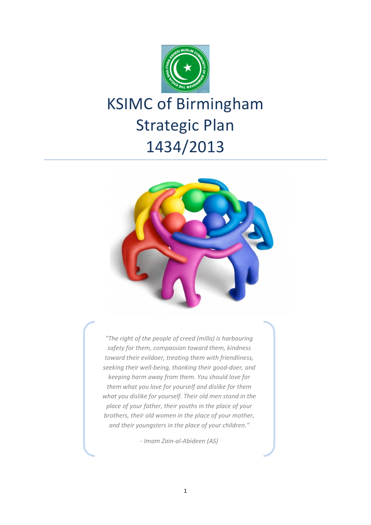

# KSIMC of Birmingham Strategic Plan 1434/2013



*"The right of the people of creed (milla) is harbouring safety for them, compassion toward them, kindness toward their evildoer, treating them with friendliness, seeking their well-being, thanking their good-doer, and keeping harm away from them. You should love for them what you love for yourself and dislike for them what you dislike for yourself. Their old men stand in the place of your father, their youths in the place of your brothers, their old women in the place of your mother, and their youngsters in the place of your children."*

*- Imam Zain-al-Abideen (AS)*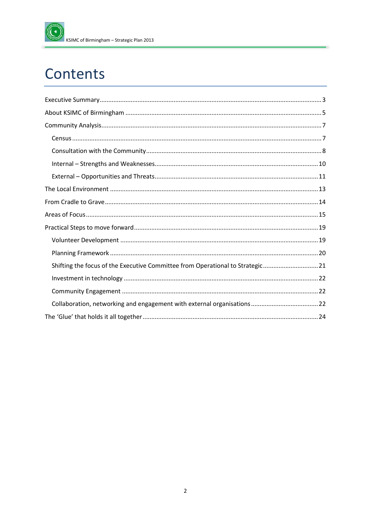

## Contents

| Shifting the focus of the Executive Committee from Operational to Strategic21 |
|-------------------------------------------------------------------------------|
|                                                                               |
|                                                                               |
|                                                                               |
|                                                                               |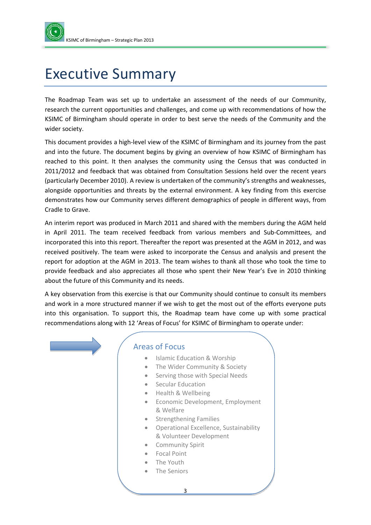

## <span id="page-2-0"></span>Executive Summary

The Roadmap Team was set up to undertake an assessment of the needs of our Community, research the current opportunities and challenges, and come up with recommendations of how the KSIMC of Birmingham should operate in order to best serve the needs of the Community and the wider society.

This document provides a high-level view of the KSIMC of Birmingham and its journey from the past and into the future. The document begins by giving an overview of how KSIMC of Birmingham has reached to this point. It then analyses the community using the Census that was conducted in 2011/2012 and feedback that was obtained from Consultation Sessions held over the recent years (particularly December 2010). A review is undertaken of the community's strengths and weaknesses, alongside opportunities and threats by the external environment. A key finding from this exercise demonstrates how our Community serves different demographics of people in different ways, from Cradle to Grave.

An interim report was produced in March 2011 and shared with the members during the AGM held in April 2011. The team received feedback from various members and Sub-Committees, and incorporated this into this report. Thereafter the report was presented at the AGM in 2012, and was received positively. The team were asked to incorporate the Census and analysis and present the report for adoption at the AGM in 2013. The team wishes to thank all those who took the time to provide feedback and also appreciates all those who spent their New Year's Eve in 2010 thinking about the future of this Community and its needs.

A key observation from this exercise is that our Community should continue to consult its members and work in a more structured manner if we wish to get the most out of the efforts everyone puts into this organisation. To support this, the Roadmap team have come up with some practical recommendations along with 12 'Areas of Focus' for KSIMC of Birmingham to operate under:



#### Areas of Focus

- Islamic Education & Worship
- The Wider Community & Society
- Serving those with Special Needs
- Secular Education
- Health & Wellbeing
- Economic Development, Employment & Welfare
- Strengthening Families
- Operational Excellence, Sustainability & Volunteer Development
- Community Spirit
- Focal Point
- The Youth
- The Seniors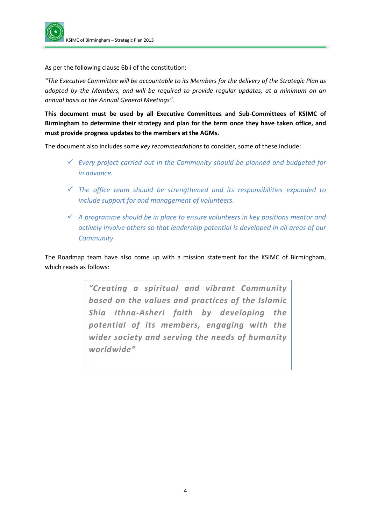

As per the following clause 6bii of the constitution:

*"The Executive Committee will be accountable to its Members for the delivery of the Strategic Plan as adopted by the Members, and will be required to provide regular updates, at a minimum on an annual basis at the Annual General Meetings".*

**This document must be used by all Executive Committees and Sub-Committees of KSIMC of Birmingham to determine their strategy and plan for the term once they have taken office, and must provide progress updates to the members at the AGMs.** 

The document also includes some *key recommendations* to consider, some of these include:

- *Every project carried out in the Community should be planned and budgeted for in advance.*
- *The office team should be strengthened and its responsibilities expanded to include support for and management of volunteers.*
- *A programme should be in place to ensure volunteers in key positions mentor and actively involve others so that leadership potential is developed in all areas of our Community.*

The Roadmap team have also come up with a mission statement for the KSIMC of Birmingham, which reads as follows:

> *"Creating a spiritual and vibrant Community based on the values and practices of the Islamic Shia Ithna-Asheri faith by developing the potential of its members, engaging with the wider society and serving the needs of humanity worldwide"*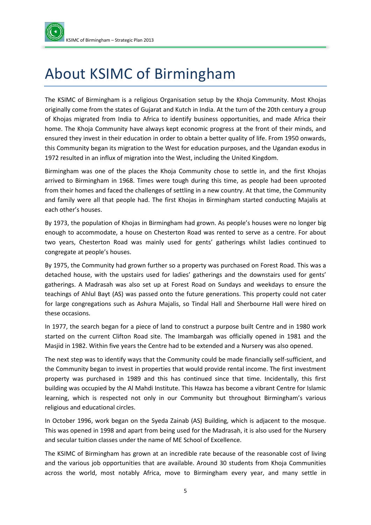## <span id="page-4-0"></span>About KSIMC of Birmingham

The KSIMC of Birmingham is a religious Organisation setup by the Khoja Community. Most Khojas originally come from the states of Gujarat and Kutch in India. At the turn of the 20th century a group of Khojas migrated from India to Africa to identify business opportunities, and made Africa their home. The Khoja Community have always kept economic progress at the front of their minds, and ensured they invest in their education in order to obtain a better quality of life. From 1950 onwards, this Community began its migration to the West for education purposes, and the Ugandan exodus in 1972 resulted in an influx of migration into the West, including the United Kingdom.

Birmingham was one of the places the Khoja Community chose to settle in, and the first Khojas arrived to Birmingham in 1968. Times were tough during this time, as people had been uprooted from their homes and faced the challenges of settling in a new country. At that time, the Community and family were all that people had. The first Khojas in Birmingham started conducting Majalis at each other's houses.

By 1973, the population of Khojas in Birmingham had grown. As people's houses were no longer big enough to accommodate, a house on Chesterton Road was rented to serve as a centre. For about two years, Chesterton Road was mainly used for gents' gatherings whilst ladies continued to congregate at people's houses.

By 1975, the Community had grown further so a property was purchased on Forest Road. This was a detached house, with the upstairs used for ladies' gatherings and the downstairs used for gents' gatherings. A Madrasah was also set up at Forest Road on Sundays and weekdays to ensure the teachings of Ahlul Bayt (AS) was passed onto the future generations. This property could not cater for large congregations such as Ashura Majalis, so Tindal Hall and Sherbourne Hall were hired on these occasions.

In 1977, the search began for a piece of land to construct a purpose built Centre and in 1980 work started on the current Clifton Road site. The Imambargah was officially opened in 1981 and the Masjid in 1982. Within five years the Centre had to be extended and a Nursery was also opened.

The next step was to identify ways that the Community could be made financially self-sufficient, and the Community began to invest in properties that would provide rental income. The first investment property was purchased in 1989 and this has continued since that time. Incidentally, this first building was occupied by the Al Mahdi Institute. This Hawza has become a vibrant Centre for Islamic learning, which is respected not only in our Community but throughout Birmingham's various religious and educational circles.

In October 1996, work began on the Syeda Zainab (AS) Building, which is adjacent to the mosque. This was opened in 1998 and apart from being used for the Madrasah, it is also used for the Nursery and secular tuition classes under the name of ME School of Excellence.

The KSIMC of Birmingham has grown at an incredible rate because of the reasonable cost of living and the various job opportunities that are available. Around 30 students from Khoja Communities across the world, most notably Africa, move to Birmingham every year, and many settle in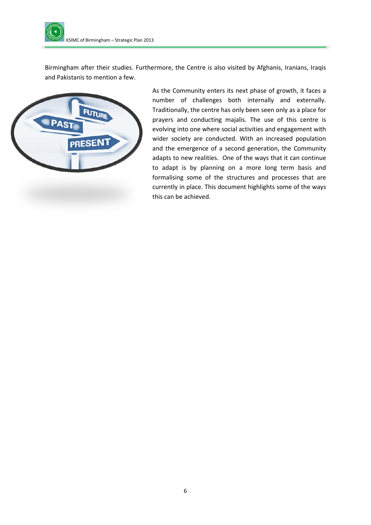

Birmingham after their studies. Furthermore, the Centre is also visited by Afghanis, Iranians, Iraqis and Pakistanis to mention a few.



As the Community enters its next phase of growth, it faces a number of challenges both internally and externally. Traditionally, the centre has only been seen only as a place for prayers and conducting majalis. The use of this centre is evolving into one where social activities and engagement with wider society are conducted. With an increased population and the emergence of a second generation, the Community adapts to new realities. One of the ways that it can continue to adapt is by planning on a more long term basis and formalising some of the structures and processes that are currently in place. This document highlights some of the ways this can be achieved.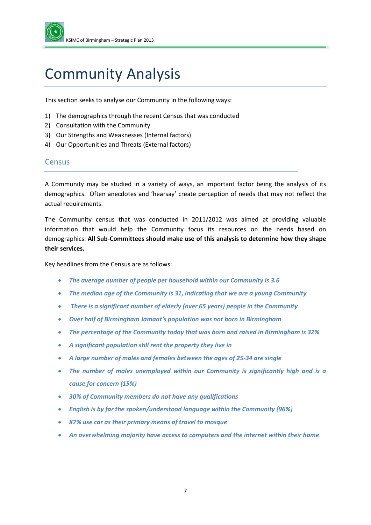

## <span id="page-6-0"></span>Community Analysis

This section seeks to analyse our Community in the following ways:

- 1) The demographics through the recent Census that was conducted
- 2) Consultation with the Community
- 3) Our Strengths and Weaknesses (Internal factors)
- 4) Our Opportunities and Threats (External factors)

#### <span id="page-6-1"></span>**Census**

A Community may be studied in a variety of ways, an important factor being the analysis of its demographics. Often anecdotes and 'hearsay' create perception of needs that may not reflect the actual requirements.

The Community census that was conducted in 2011/2012 was aimed at providing valuable information that would help the Community focus its resources on the needs based on demographics. **All Sub-Committees should make use of this analysis to determine how they shape their services.**

Key headlines from the Census are as follows:

- *The average number of people per household within our Community is 3.6*
- *The median age of the Community is 31, indicating that we are a young Community*
- *There is a significant number of elderly (over 65 years) people in the Community*
- *Over half of Birmingham Jamaat's population was not born in Birmingham*
- *The percentage of the Community today that was born and raised in Birmingham is 32%*
- *A significant population still rent the property they live in*
- *A large number of males and females between the ages of 25-34 are single*
- *The number of males unemployed within our Community is significantly high and is a cause for concern (15%)*
- *30% of Community members do not have any qualifications*
- *English is by far the spoken/understood language within the Community (96%)*
- *87% use car as their primary means of travel to mosque*
- *An overwhelming majority have access to computers and the internet within their home*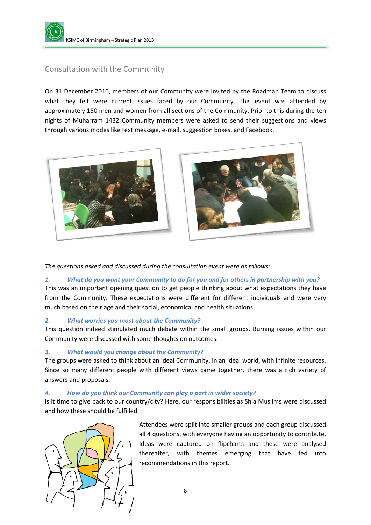

### <span id="page-7-0"></span>Consultation with the Community

On 31 December 2010, members of our Community were invited by the Roadmap Team to discuss what they felt were current issues faced by our Community. This event was attended by approximately 150 men and women from all sections of the Community. Prior to this during the ten nights of Muharram 1432 Community members were asked to send their suggestions and views through various modes like text message, e-mail, suggestion boxes, and Facebook.





*The questions asked and discussed during the consultation event were as follows:*

#### *1. What do you want your Community to do for you and for others in partnership with you?*

This was an important opening question to get people thinking about what expectations they have from the Community. These expectations were different for different individuals and were very much based on their age and their social, economical and health situations.

#### *2. What worries you most about the Community?*

This question indeed stimulated much debate within the small groups. Burning issues within our Community were discussed with some thoughts on outcomes.

#### *3. What would you change about the Community?*

The groups were asked to think about an ideal Community, in an ideal world, with infinite resources. Since so many different people with different views came together, there was a rich variety of answers and proposals.

#### *4. How do you think our Community can play a part in wider society?*

Is it time to give back to our country/city? Here, our responsibilities as Shia Muslims were discussed and how these should be fulfilled.



Attendees were split into smaller groups and each group discussed all 4 questions, with everyone having an opportunity to contribute. Ideas were captured on flipcharts and these were analysed thereafter, with themes emerging that have fed into recommendations in this report.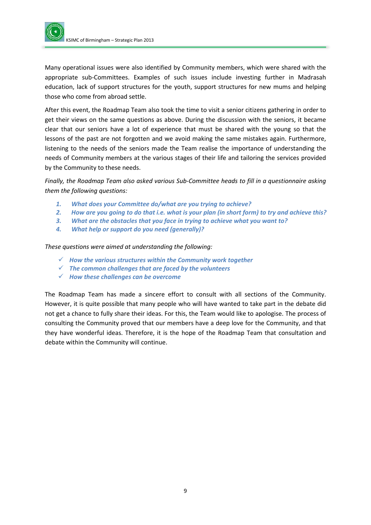

Many operational issues were also identified by Community members, which were shared with the appropriate sub-Committees. Examples of such issues include investing further in Madrasah education, lack of support structures for the youth, support structures for new mums and helping those who come from abroad settle.

After this event, the Roadmap Team also took the time to visit a senior citizens gathering in order to get their views on the same questions as above. During the discussion with the seniors, it became clear that our seniors have a lot of experience that must be shared with the young so that the lessons of the past are not forgotten and we avoid making the same mistakes again. Furthermore, listening to the needs of the seniors made the Team realise the importance of understanding the needs of Community members at the various stages of their life and tailoring the services provided by the Community to these needs.

*Finally, the Roadmap Team also asked various Sub-Committee heads to fill in a questionnaire asking them the following questions:*

- *1. What does your Committee do/what are you trying to achieve?*
- *2. How are you going to do that i.e. what is your plan (in short form) to try and achieve this?*
- *3. What are the obstacles that you face in trying to achieve what you want to?*
- *4. What help or support do you need (generally)?*

*These questions were aimed at understanding the following:*

- *How the various structures within the Community work together*
- *The common challenges that are faced by the volunteers*
- *How these challenges can be overcome*

The Roadmap Team has made a sincere effort to consult with all sections of the Community. However, it is quite possible that many people who will have wanted to take part in the debate did not get a chance to fully share their ideas. For this, the Team would like to apologise. The process of consulting the Community proved that our members have a deep love for the Community, and that they have wonderful ideas. Therefore, it is the hope of the Roadmap Team that consultation and debate within the Community will continue.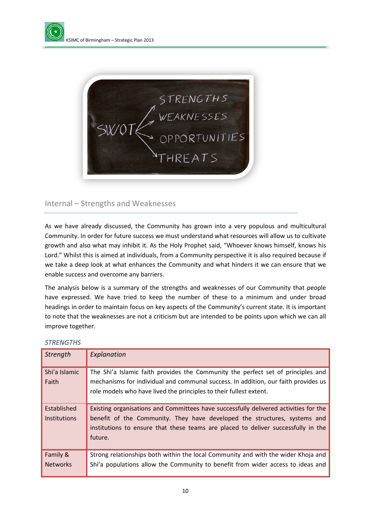



#### <span id="page-9-0"></span>Internal – Strengths and Weaknesses

As we have already discussed, the Community has grown into a very populous and multicultural Community. In order for future success we must understand what resources will allow us to cultivate growth and also what may inhibit it. As the Holy Prophet said, "Whoever knows himself, knows his Lord." Whilst this is aimed at individuals, from a Community perspective it is also required because if we take a deep look at what enhances the Community and what hinders it we can ensure that we enable success and overcome any barriers.

The analysis below is a summary of the strengths and weaknesses of our Community that people have expressed. We have tried to keep the number of these to a minimum and under broad headings in order to maintain focus on key aspects of the Community's current state. It is important to note that the weaknesses are not a criticism but are intended to be points upon which we can all improve together.

| <b>Strength</b>                    | Explanation                                                                                                                                                                                                                                                       |  |
|------------------------------------|-------------------------------------------------------------------------------------------------------------------------------------------------------------------------------------------------------------------------------------------------------------------|--|
| Shi'a Islamic<br>Faith             | The Shi'a Islamic faith provides the Community the perfect set of principles and<br>mechanisms for individual and communal success. In addition, our faith provides us<br>role models who have lived the principles to their fullest extent.                      |  |
| Established<br><b>Institutions</b> | Existing organisations and Committees have successfully delivered activities for the<br>benefit of the Community. They have developed the structures, systems and<br>institutions to ensure that these teams are placed to deliver successfully in the<br>future. |  |
| Family &<br><b>Networks</b>        | Strong relationships both within the local Community and with the wider Khoja and<br>Shi'a populations allow the Community to benefit from wider access to ideas and                                                                                              |  |

#### *STRENGTHS*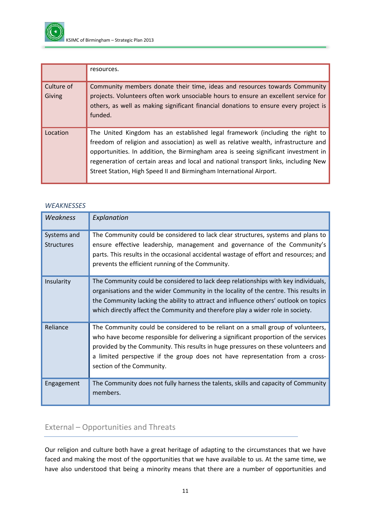

|                      | resources.                                                                                                                                                                                                                                                                                                                                                                                                                |
|----------------------|---------------------------------------------------------------------------------------------------------------------------------------------------------------------------------------------------------------------------------------------------------------------------------------------------------------------------------------------------------------------------------------------------------------------------|
| Culture of<br>Giving | Community members donate their time, ideas and resources towards Community<br>projects. Volunteers often work unsociable hours to ensure an excellent service for<br>others, as well as making significant financial donations to ensure every project is<br>funded.                                                                                                                                                      |
| Location             | The United Kingdom has an established legal framework (including the right to<br>freedom of religion and association) as well as relative wealth, infrastructure and<br>opportunities. In addition, the Birmingham area is seeing significant investment in<br>regeneration of certain areas and local and national transport links, including New<br>Street Station, High Speed II and Birmingham International Airport. |

#### *WEAKNESSES*

| <b>Weakness</b>                  | Explanation                                                                                                                                                                                                                                                                                                                                                               |
|----------------------------------|---------------------------------------------------------------------------------------------------------------------------------------------------------------------------------------------------------------------------------------------------------------------------------------------------------------------------------------------------------------------------|
| Systems and<br><b>Structures</b> | The Community could be considered to lack clear structures, systems and plans to<br>ensure effective leadership, management and governance of the Community's<br>parts. This results in the occasional accidental wastage of effort and resources; and<br>prevents the efficient running of the Community.                                                                |
| Insularity                       | The Community could be considered to lack deep relationships with key individuals,<br>organisations and the wider Community in the locality of the centre. This results in<br>the Community lacking the ability to attract and influence others' outlook on topics<br>which directly affect the Community and therefore play a wider role in society.                     |
| Reliance                         | The Community could be considered to be reliant on a small group of volunteers,<br>who have become responsible for delivering a significant proportion of the services<br>provided by the Community. This results in huge pressures on these volunteers and<br>a limited perspective if the group does not have representation from a cross-<br>section of the Community. |
| Engagement                       | The Community does not fully harness the talents, skills and capacity of Community<br>members.                                                                                                                                                                                                                                                                            |

### <span id="page-10-0"></span>External – Opportunities and Threats

Our religion and culture both have a great heritage of adapting to the circumstances that we have faced and making the most of the opportunities that we have available to us. At the same time, we have also understood that being a minority means that there are a number of opportunities and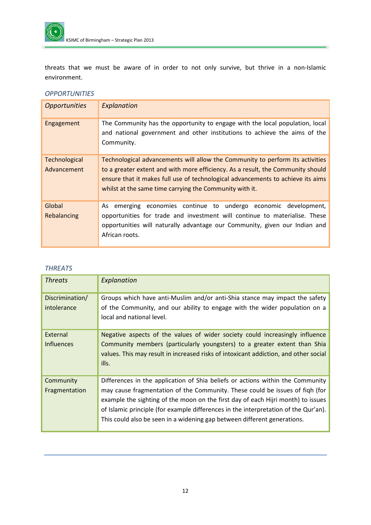

threats that we must be aware of in order to not only survive, but thrive in a non-Islamic environment.

#### *OPPORTUNITIES*

| <b>Opportunities</b>         | Explanation                                                                                                                                                                                                                                                                                                    |
|------------------------------|----------------------------------------------------------------------------------------------------------------------------------------------------------------------------------------------------------------------------------------------------------------------------------------------------------------|
| Engagement                   | The Community has the opportunity to engage with the local population, local<br>and national government and other institutions to achieve the aims of the<br>Community.                                                                                                                                        |
| Technological<br>Advancement | Technological advancements will allow the Community to perform its activities<br>to a greater extent and with more efficiency. As a result, the Community should<br>ensure that it makes full use of technological advancements to achieve its aims<br>whilst at the same time carrying the Community with it. |
| Global<br>Rebalancing        | emerging economies continue to undergo economic development,<br>As<br>opportunities for trade and investment will continue to materialise. These<br>opportunities will naturally advantage our Community, given our Indian and<br>African roots.                                                               |

#### *THREATS*

<span id="page-11-0"></span>

| <b>Threats</b>                 | Explanation                                                                                                                                                                                                                                                                                                                                                                                                           |
|--------------------------------|-----------------------------------------------------------------------------------------------------------------------------------------------------------------------------------------------------------------------------------------------------------------------------------------------------------------------------------------------------------------------------------------------------------------------|
| Discrimination/<br>intolerance | Groups which have anti-Muslim and/or anti-Shia stance may impact the safety<br>of the Community, and our ability to engage with the wider population on a<br>local and national level.                                                                                                                                                                                                                                |
| External<br><b>Influences</b>  | Negative aspects of the values of wider society could increasingly influence<br>Community members (particularly youngsters) to a greater extent than Shia<br>values. This may result in increased risks of intoxicant addiction, and other social<br>ills.                                                                                                                                                            |
| Community<br>Fragmentation     | Differences in the application of Shia beliefs or actions within the Community<br>may cause fragmentation of the Community. These could be issues of figh (for<br>example the sighting of the moon on the first day of each Hijri month) to issues<br>of Islamic principle (for example differences in the interpretation of the Qur'an).<br>This could also be seen in a widening gap between different generations. |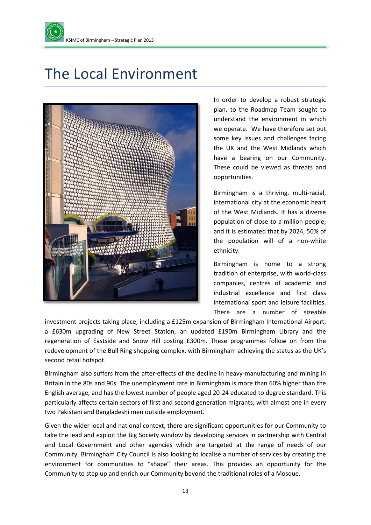

## The Local Environment



In order to develop a robust strategic plan, to the Roadmap Team sought to understand the environment in which we operate. We have therefore set out some key issues and challenges facing the UK and the West Midlands which have a bearing on our Community. These could be viewed as threats and opportunities.

Birmingham is a thriving, multi-racial, international city at the economic heart of the West Midlands. It has a diverse population of close to a million people; and it is estimated that by 2024, 50% of the population will of a non-white ethnicity.

Birmingham is home to a strong tradition of enterprise, with world-class companies, centres of academic and industrial excellence and first class international sport and leisure facilities. There are a number of sizeable

investment projects taking place, including a £125m expansion of Birmingham International Airport, a £630m upgrading of New Street Station, an updated £190m Birmingham Library and the regeneration of Eastside and Snow Hill costing £300m. These programmes follow on from the redevelopment of the Bull Ring shopping complex, with Birmingham achieving the status as the UK's second retail hotspot.

Birmingham also suffers from the after-effects of the decline in heavy-manufacturing and mining in Britain in the 80s and 90s. The unemployment rate in Birmingham is more than 60% higher than the English average, and has the lowest number of people aged 20-24 educated to degree standard. This particularly affects certain sectors of first and second generation migrants, with almost one in every two Pakistani and Bangladeshi men outside employment.

Given the wider local and national context, there are significant opportunities for our Community to take the lead and exploit the Big Society window by developing services in partnership with Central and Local Government and other agencies which are targeted at the range of needs of our Community. Birmingham City Council is also looking to localise a number of services by creating the environment for communities to "shape" their areas. This provides an opportunity for the Community to step up and enrich our Community beyond the traditional roles of a Mosque.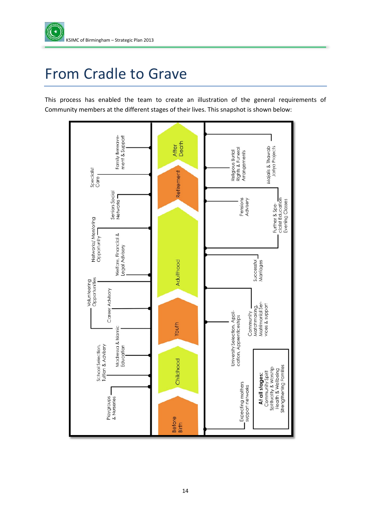

## <span id="page-13-0"></span>From Cradle to Grave

This process has enabled the team to create an illustration of the general requirements of Community members at the different stages of their lives. This snapshot is shown below:

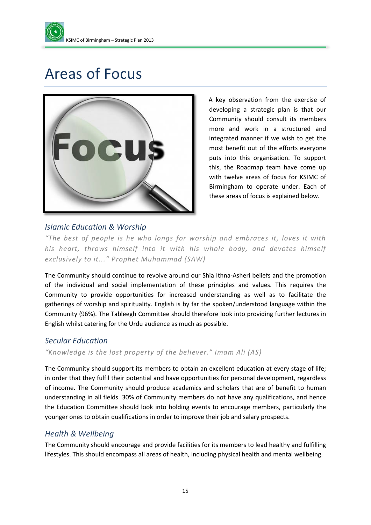

## <span id="page-14-0"></span>Areas of Focus



A key observation from the exercise of developing a strategic plan is that our Community should consult its members more and work in a structured and integrated manner if we wish to get the most benefit out of the efforts everyone puts into this organisation. To support this, the Roadmap team have come up with twelve areas of focus for KSIMC of Birmingham to operate under. Each of these areas of focus is explained below.

### *Islamic Education & Worship*

*"The best of people is he who longs for worship and embraces it, loves it with his heart, throws himself into it with his whole body, and devotes himself exclusively to it..." Prophet Muhammad (SAW)*

The Community should continue to revolve around our Shia Ithna-Asheri beliefs and the promotion of the individual and social implementation of these principles and values. This requires the Community to provide opportunities for increased understanding as well as to facilitate the gatherings of worship and spirituality. English is by far the spoken/understood language within the Community (96%). The Tableegh Committee should therefore look into providing further lectures in English whilst catering for the Urdu audience as much as possible.

#### *Secular Education*

*"Knowledge is the lost property of the believer." Imam Ali (AS)*

The Community should support its members to obtain an excellent education at every stage of life; in order that they fulfil their potential and have opportunities for personal development, regardless of income. The Community should produce academics and scholars that are of benefit to human understanding in all fields. 30% of Community members do not have any qualifications, and hence the Education Committee should look into holding events to encourage members, particularly the younger ones to obtain qualifications in order to improve their job and salary prospects.

#### *Health & Wellbeing*

The Community should encourage and provide facilities for its members to lead healthy and fulfilling lifestyles. This should encompass all areas of health, including physical health and mental wellbeing.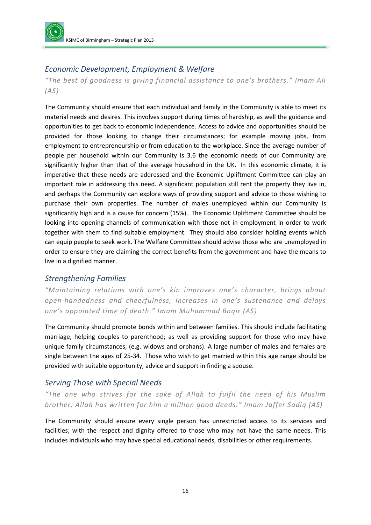

### *Economic Development, Employment & Welfare*

*"The best of goodness is giving financial assistance to one's brothers." Imam Ali (AS)*

The Community should ensure that each individual and family in the Community is able to meet its material needs and desires. This involves support during times of hardship, as well the guidance and opportunities to get back to economic independence. Access to advice and opportunities should be provided for those looking to change their circumstances; for example moving jobs, from employment to entrepreneurship or from education to the workplace. Since the average number of people per household within our Community is 3.6 the economic needs of our Community are significantly higher than that of the average household in the UK. In this economic climate, it is imperative that these needs are addressed and the Economic Upliftment Committee can play an important role in addressing this need. A significant population still rent the property they live in, and perhaps the Community can explore ways of providing support and advice to those wishing to purchase their own properties. The number of males unemployed within our Community is significantly high and is a cause for concern (15%). The Economic Upliftment Committee should be looking into opening channels of communication with those not in employment in order to work together with them to find suitable employment. They should also consider holding events which can equip people to seek work. The Welfare Committee should advise those who are unemployed in order to ensure they are claiming the correct benefits from the government and have the means to live in a dignified manner.

#### *Strengthening Families*

*"Maintaining relations with one's kin improves one's character, brings about open-handedness and cheerfulness, increases in one's sustenance and delays one's appointed time of death." Imam Muhammad Baqir (AS)*

The Community should promote bonds within and between families. This should include facilitating marriage, helping couples to parenthood; as well as providing support for those who may have unique family circumstances, (e.g. widows and orphans). A large number of males and females are single between the ages of 25-34. Those who wish to get married within this age range should be provided with suitable opportunity, advice and support in finding a spouse.

#### *Serving Those with Special Needs*

*"The one who strives for the sake of Allah to fulfil the need of his Muslim brother, Allah has written for him a million good deeds." Imam Jaffer Sadiq (AS)*

The Community should ensure every single person has unrestricted access to its services and facilities; with the respect and dignity offered to those who may not have the same needs. This includes individuals who may have special educational needs, disabilities or other requirements.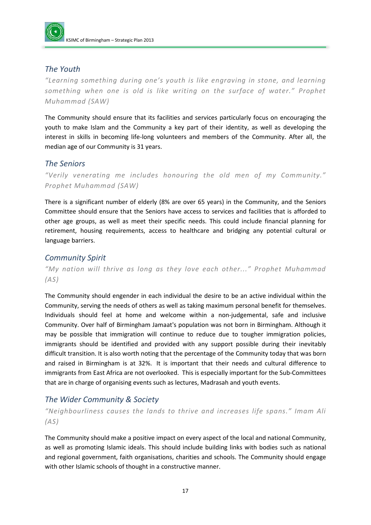

#### *The Youth*

*"Learning something during one's youth is like engraving in stone, and learning something when one is old is like writing on the surface of water." Prophet Muhammad (SAW)*

The Community should ensure that its facilities and services particularly focus on encouraging the youth to make Islam and the Community a key part of their identity, as well as developing the interest in skills in becoming life-long volunteers and members of the Community. After all, the median age of our Community is 31 years.

#### *The Seniors*

*"Verily venerating me includes honouring the old men of my Community." Prophet Muhammad (SAW)*

There is a significant number of elderly (8% are over 65 years) in the Community, and the Seniors Committee should ensure that the Seniors have access to services and facilities that is afforded to other age groups, as well as meet their specific needs. This could include financial planning for retirement, housing requirements, access to healthcare and bridging any potential cultural or language barriers.

#### *Community Spirit*

*"My nation will thrive as long as they love each other..." Prophet Muhammad (AS)*

The Community should engender in each individual the desire to be an active individual within the Community, serving the needs of others as well as taking maximum personal benefit for themselves. Individuals should feel at home and welcome within a non-judgemental, safe and inclusive Community. Over half of Birmingham Jamaat's population was not born in Birmingham. Although it may be possible that immigration will continue to reduce due to tougher immigration policies, immigrants should be identified and provided with any support possible during their inevitably difficult transition. It is also worth noting that the percentage of the Community today that was born and raised in Birmingham is at 32%. It is important that their needs and cultural difference to immigrants from East Africa are not overlooked. This is especially important for the Sub-Committees that are in charge of organising events such as lectures, Madrasah and youth events.

#### *The Wider Community & Society*

*"Neighbourliness causes the lands to thrive and increases life spans." Imam Ali (AS)*

The Community should make a positive impact on every aspect of the local and national Community, as well as promoting Islamic ideals. This should include building links with bodies such as national and regional government, faith organisations, charities and schools. The Community should engage with other Islamic schools of thought in a constructive manner.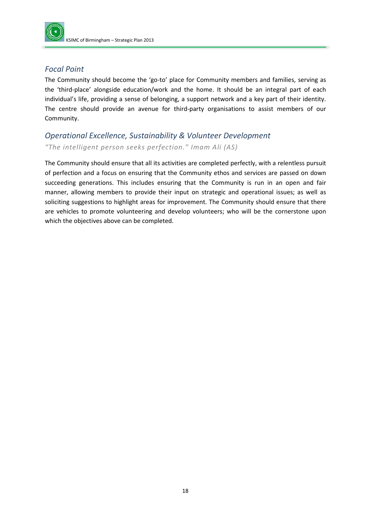

### *Focal Point*

The Community should become the 'go-to' place for Community members and families, serving as the 'third-place' alongside education/work and the home. It should be an integral part of each individual's life, providing a sense of belonging, a support network and a key part of their identity. The centre should provide an avenue for third-party organisations to assist members of our Community.

### *Operational Excellence, Sustainability & Volunteer Development "The intelligent person seeks perfection." Imam Ali (AS)*

The Community should ensure that all its activities are completed perfectly, with a relentless pursuit of perfection and a focus on ensuring that the Community ethos and services are passed on down succeeding generations. This includes ensuring that the Community is run in an open and fair manner, allowing members to provide their input on strategic and operational issues; as well as soliciting suggestions to highlight areas for improvement. The Community should ensure that there are vehicles to promote volunteering and develop volunteers; who will be the cornerstone upon which the objectives above can be completed.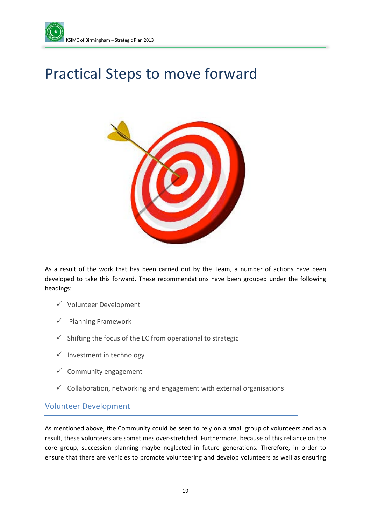

## <span id="page-18-0"></span>Practical Steps to move forward



As a result of the work that has been carried out by the Team, a number of actions have been developed to take this forward. These recommendations have been grouped under the following headings:

- $\checkmark$  Volunteer Development
- $\checkmark$  Planning Framework
- $\checkmark$  Shifting the focus of the EC from operational to strategic
- $\checkmark$  Investment in technology
- $\checkmark$  Community engagement
- $\checkmark$  Collaboration, networking and engagement with external organisations

#### <span id="page-18-1"></span>Volunteer Development

As mentioned above, the Community could be seen to rely on a small group of volunteers and as a result, these volunteers are sometimes over-stretched. Furthermore, because of this reliance on the core group, succession planning maybe neglected in future generations. Therefore, in order to ensure that there are vehicles to promote volunteering and develop volunteers as well as ensuring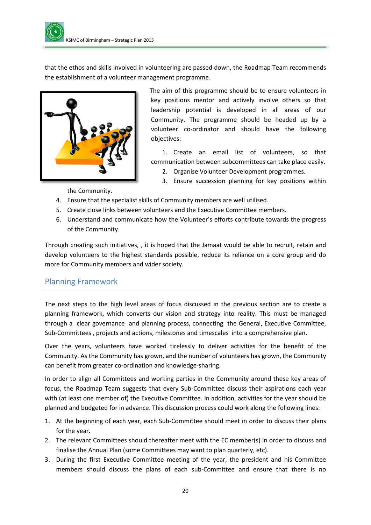that the ethos and skills involved in volunteering are passed down, the Roadmap Team recommends the establishment of a volunteer management programme.



The aim of this programme should be to ensure volunteers in key positions mentor and actively involve others so that leadership potential is developed in all areas of our Community. The programme should be headed up by a volunteer co-ordinator and should have the following objectives:

1. Create an email list of volunteers, so that communication between subcommittees can take place easily.

- 2. Organise Volunteer Development programmes.
- 3. Ensure succession planning for key positions within

the Community.

- 4. Ensure that the specialist skills of Community members are well utilised.
- 5. Create close links between volunteers and the Executive Committee members.
- 6. Understand and communicate how the Volunteer's efforts contribute towards the progress of the Community.

Through creating such initiatives, , it is hoped that the Jamaat would be able to recruit, retain and develop volunteers to the highest standards possible, reduce its reliance on a core group and do more for Community members and wider society.

### <span id="page-19-0"></span>Planning Framework

The next steps to the high level areas of focus discussed in the previous section are to create a planning framework, which converts our vision and strategy into reality. This must be managed through a clear governance and planning process, connecting the General, Executive Committee, Sub-Committees , projects and actions, milestones and timescales into a comprehensive plan.

Over the years, volunteers have worked tirelessly to deliver activities for the benefit of the Community. As the Community has grown, and the number of volunteers has grown, the Community can benefit from greater co-ordination and knowledge-sharing.

In order to align all Committees and working parties in the Community around these key areas of focus, the Roadmap Team suggests that every Sub-Committee discuss their aspirations each year with (at least one member of) the Executive Committee. In addition, activities for the year should be planned and budgeted for in advance. This discussion process could work along the following lines:

- 1. At the beginning of each year, each Sub-Committee should meet in order to discuss their plans for the year.
- 2. The relevant Committees should thereafter meet with the EC member(s) in order to discuss and finalise the Annual Plan (some Committees may want to plan quarterly, etc).
- 3. During the first Executive Committee meeting of the year, the president and his Committee members should discuss the plans of each sub-Committee and ensure that there is no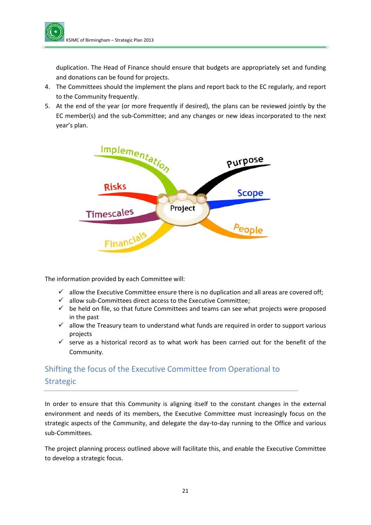duplication. The Head of Finance should ensure that budgets are appropriately set and funding and donations can be found for projects.

- 4. The Committees should the implement the plans and report back to the EC regularly, and report to the Community frequently.
- 5. At the end of the year (or more frequently if desired), the plans can be reviewed jointly by the EC member(s) and the sub-Committee; and any changes or new ideas incorporated to the next year's plan.



The information provided by each Committee will:

- $\checkmark$  allow the Executive Committee ensure there is no duplication and all areas are covered off;
- $\checkmark$  allow sub-Committees direct access to the Executive Committee;
- $\checkmark$  be held on file, so that future Committees and teams can see what projects were proposed in the past
- $\checkmark$  allow the Treasury team to understand what funds are required in order to support various projects
- $\checkmark$  serve as a historical record as to what work has been carried out for the benefit of the Community.

### <span id="page-20-0"></span>Shifting the focus of the Executive Committee from Operational to Strategic

In order to ensure that this Community is aligning itself to the constant changes in the external environment and needs of its members, the Executive Committee must increasingly focus on the strategic aspects of the Community, and delegate the day-to-day running to the Office and various sub-Committees.

The project planning process outlined above will facilitate this, and enable the Executive Committee to develop a strategic focus.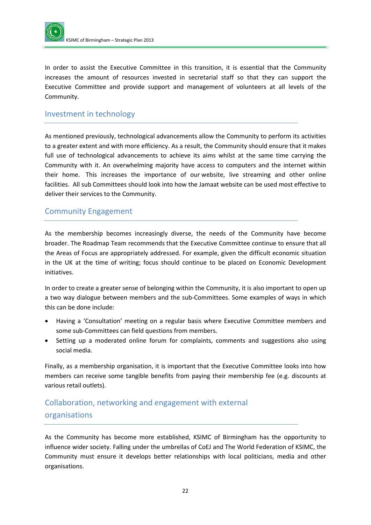

In order to assist the Executive Committee in this transition, it is essential that the Community increases the amount of resources invested in secretarial staff so that they can support the Executive Committee and provide support and management of volunteers at all levels of the Community.

#### <span id="page-21-0"></span>Investment in technology

As mentioned previously, technological advancements allow the Community to perform its activities to a greater extent and with more efficiency. As a result, the Community should ensure that it makes full use of technological advancements to achieve its aims whilst at the same time carrying the Community with it. An overwhelming majority have access to computers and the internet within their home. This increases the importance of our website, live streaming and other online facilities. All sub Committees should look into how the Jamaat website can be used most effective to deliver their services to the Community.

#### <span id="page-21-1"></span>Community Engagement

As the membership becomes increasingly diverse, the needs of the Community have become broader. The Roadmap Team recommends that the Executive Committee continue to ensure that all the Areas of Focus are appropriately addressed. For example, given the difficult economic situation in the UK at the time of writing; focus should continue to be placed on Economic Development initiatives.

In order to create a greater sense of belonging within the Community, it is also important to open up a two way dialogue between members and the sub-Committees. Some examples of ways in which this can be done include:

- Having a 'Consultation' meeting on a regular basis where Executive Committee members and some sub-Committees can field questions from members.
- Setting up a moderated online forum for complaints, comments and suggestions also using social media.

Finally, as a membership organisation, it is important that the Executive Committee looks into how members can receive some tangible benefits from paying their membership fee (e.g. discounts at various retail outlets).

### <span id="page-21-2"></span>Collaboration, networking and engagement with external organisations

As the Community has become more established, KSIMC of Birmingham has the opportunity to influence wider society. Falling under the umbrellas of CoEJ and The World Federation of KSIMC, the Community must ensure it develops better relationships with local politicians, media and other organisations.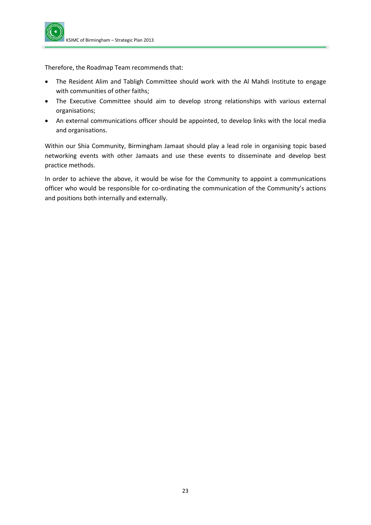

Therefore, the Roadmap Team recommends that:

- The Resident Alim and Tabligh Committee should work with the Al Mahdi Institute to engage with communities of other faiths;
- The Executive Committee should aim to develop strong relationships with various external organisations;
- An external communications officer should be appointed, to develop links with the local media and organisations.

Within our Shia Community, Birmingham Jamaat should play a lead role in organising topic based networking events with other Jamaats and use these events to disseminate and develop best practice methods.

In order to achieve the above, it would be wise for the Community to appoint a communications officer who would be responsible for co-ordinating the communication of the Community's actions and positions both internally and externally.